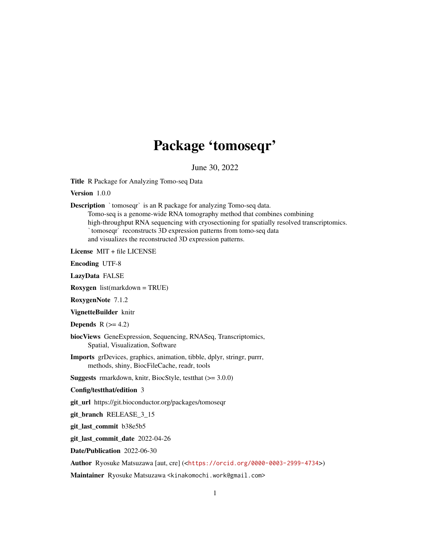## Package 'tomoseqr'

June 30, 2022

<span id="page-0-0"></span>Title R Package for Analyzing Tomo-seq Data

Version 1.0.0

**Description** `tomoseqr` is an R package for analyzing Tomo-seq data. prometries and Netally and Separate in a stronger of analyzing Tomo-seq data.<br>Tomo-seq is a genome-wide RNA tomography method that combines combining<br>high-throughput RNA sequencing with cryosectioning for spatially resolve high-throughput RNA sequencing with cryosectioning for spatially resolved transcriptomics. and visualizes the reconstructed 3D expression patterns.

License MIT + file LICENSE

Encoding UTF-8

LazyData FALSE

Roxygen list(markdown = TRUE)

RoxygenNote 7.1.2

VignetteBuilder knitr

**Depends**  $R$  ( $>= 4.2$ )

biocViews GeneExpression, Sequencing, RNASeq, Transcriptomics, Spatial, Visualization, Software

Imports grDevices, graphics, animation, tibble, dplyr, stringr, purrr, methods, shiny, BiocFileCache, readr, tools

**Suggests** rmarkdown, knitr, BiocStyle, testthat  $(>= 3.0.0)$ 

Config/testthat/edition 3

git\_url https://git.bioconductor.org/packages/tomoseqr

git\_branch RELEASE\_3\_15

git\_last\_commit b38e5b5

git\_last\_commit\_date 2022-04-26

Date/Publication 2022-06-30

Author Ryosuke Matsuzawa [aut, cre] (<<https://orcid.org/0000-0003-2999-4734>>)

Maintainer Ryosuke Matsuzawa <kinakomochi.work@gmail.com>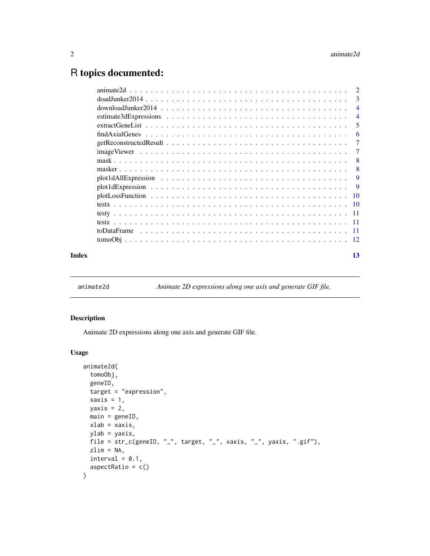### <span id="page-1-0"></span>R topics documented:

|       | $\overline{2}$ |                |
|-------|----------------|----------------|
|       |                | -3             |
|       |                | $\overline{4}$ |
|       |                | $\overline{4}$ |
|       |                | 5              |
|       |                | 6              |
|       |                | $\overline{7}$ |
|       |                | $\overline{7}$ |
|       |                | -8             |
|       |                | -8             |
|       |                | 9              |
|       |                | -9             |
|       |                |                |
|       |                |                |
|       |                |                |
|       |                |                |
|       |                |                |
|       |                |                |
| Index |                | 13             |
|       |                |                |

animate2d *Animate 2D expressions along one axis and generate GIF file.*

#### Description

Animate 2D expressions along one axis and generate GIF file.

#### Usage

```
animate2d(
 tomoObj,
 geneID,
 target = "expression",
 xaxis = 1,yaxis = 2,
 main = geneID,
 xlab = xaxis,
 ylab = yaxis,
 file = str_c(geneID, "_", target, "_", xaxis, "_", yaxis, ".gif"),
 zlim = NA,
 interval = 0.1,
 aspectRatio = c()
)
```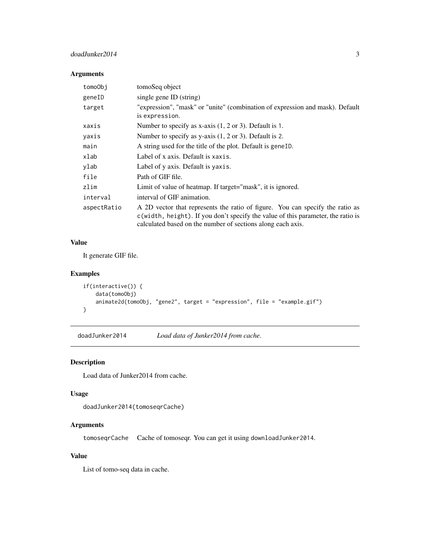#### <span id="page-2-0"></span>doadJunker2014 3

#### Arguments

| tomoObi     | tomoSeq object                                                                                                                                                                                                                   |
|-------------|----------------------------------------------------------------------------------------------------------------------------------------------------------------------------------------------------------------------------------|
| geneID      | single gene ID (string)                                                                                                                                                                                                          |
| target      | "expression", "mask" or "unite" (combination of expression and mask). Default<br>is expression.                                                                                                                                  |
| xaxis       | Number to specify as x-axis $(1, 2 \text{ or } 3)$ . Default is 1.                                                                                                                                                               |
| yaxis       | Number to specify as y-axis $(1, 2 \text{ or } 3)$ . Default is 2.                                                                                                                                                               |
| main        | A string used for the title of the plot. Default is geneID.                                                                                                                                                                      |
| xlab        | Label of x axis. Default is xaxis.                                                                                                                                                                                               |
| ylab        | Label of y axis. Default is yaxis.                                                                                                                                                                                               |
| file        | Path of GIF file.                                                                                                                                                                                                                |
| zlim        | Limit of value of heatmap. If target="mask", it is ignored.                                                                                                                                                                      |
| interval    | interval of GIF animation.                                                                                                                                                                                                       |
| aspectRatio | A 2D vector that represents the ratio of figure. You can specify the ratio as<br>c(width, height). If you don't specify the value of this parameter, the ratio is<br>calculated based on the number of sections along each axis. |

#### Value

It generate GIF file.

#### Examples

```
if(interactive()) {
   data(tomoObj)
    animate2d(tomoObj, "gene2", target = "expression", file = "example.gif")
}
```
doadJunker2014 *Load data of Junker2014 from cache.*

#### Description

Load data of Junker2014 from cache.

#### Usage

```
doadJunker2014(tomoseqrCache)
```
#### Arguments

tomoseqrCache Cache of tomoseqr. You can get it using downloadJunker2014.

#### Value

List of tomo-seq data in cache.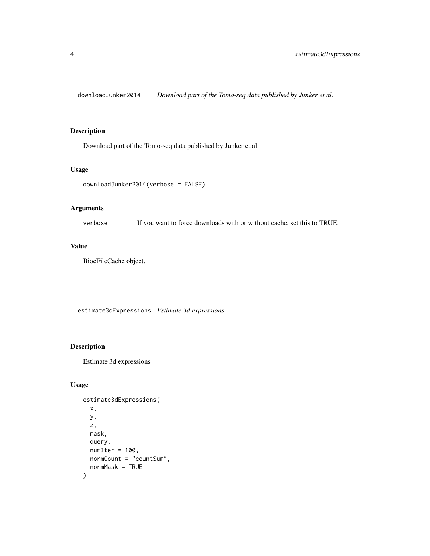<span id="page-3-0"></span>downloadJunker2014 *Download part of the Tomo-seq data published by Junker et al.*

#### Description

Download part of the Tomo-seq data published by Junker et al.

#### Usage

```
downloadJunker2014(verbose = FALSE)
```
#### Arguments

verbose If you want to force downloads with or without cache, set this to TRUE.

#### Value

BiocFileCache object.

estimate3dExpressions *Estimate 3d expressions*

#### Description

Estimate 3d expressions

#### Usage

```
estimate3dExpressions(
  x,
  y,
  z,
  mask,
  query,
  numIter = 100,normCount = "countSum",
  normMask = TRUE
\mathcal{E}
```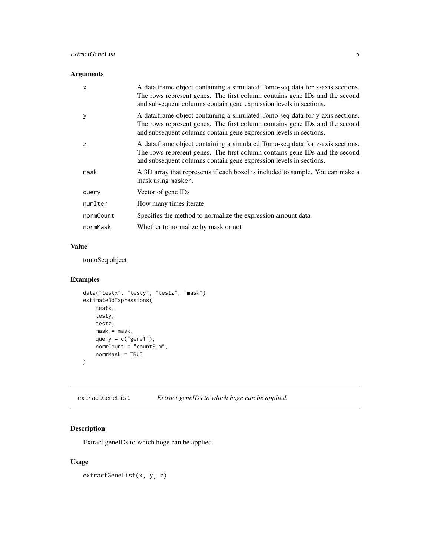#### <span id="page-4-0"></span>extractGeneList 5

#### Arguments

| X         | A data frame object containing a simulated Tomo-seq data for x-axis sections.<br>The rows represent genes. The first column contains gene IDs and the second<br>and subsequent columns contain gene expression levels in sections. |
|-----------|------------------------------------------------------------------------------------------------------------------------------------------------------------------------------------------------------------------------------------|
| y         | A data frame object containing a simulated Tomo-seq data for y-axis sections.<br>The rows represent genes. The first column contains gene IDs and the second<br>and subsequent columns contain gene expression levels in sections. |
| Z         | A data frame object containing a simulated Tomo-seq data for z-axis sections.<br>The rows represent genes. The first column contains gene IDs and the second<br>and subsequent columns contain gene expression levels in sections. |
| mask      | A 3D array that represents if each boxel is included to sample. You can make a<br>mask using masker.                                                                                                                               |
| query     | Vector of gene IDs                                                                                                                                                                                                                 |
| numIter   | How many times iterate                                                                                                                                                                                                             |
| normCount | Specifies the method to normalize the expression amount data.                                                                                                                                                                      |
| normMask  | Whether to normalize by mask or not                                                                                                                                                                                                |

#### Value

tomoSeq object

#### Examples

```
data("testx", "testy", "testz", "mask")
estimate3dExpressions(
   testx,
   testy,
   testz,
   mask = mask,query = c("gene1"),
   normCount = "countSum",
   normMask = TRUE
)
```
extractGeneList *Extract geneIDs to which hoge can be applied.*

#### Description

Extract geneIDs to which hoge can be applied.

#### Usage

extractGeneList(x, y, z)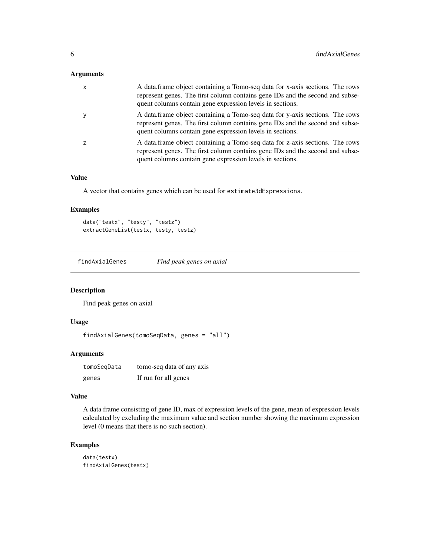#### <span id="page-5-0"></span>Arguments

| $\times$ | A data.frame object containing a Tomo-seq data for x-axis sections. The rows<br>represent genes. The first column contains gene IDs and the second and subse-<br>quent columns contain gene expression levels in sections. |
|----------|----------------------------------------------------------------------------------------------------------------------------------------------------------------------------------------------------------------------------|
| y        | A data frame object containing a Tomo-seq data for y-axis sections. The rows<br>represent genes. The first column contains gene IDs and the second and subse-<br>quent columns contain gene expression levels in sections. |
|          | A data frame object containing a Tomo-seq data for z-axis sections. The rows<br>represent genes. The first column contains gene IDs and the second and subse-<br>quent columns contain gene expression levels in sections. |

#### Value

A vector that contains genes which can be used for estimate3dExpressions.

#### Examples

```
data("testx", "testy", "testz")
extractGeneList(testx, testy, testz)
```
findAxialGenes *Find peak genes on axial*

#### Description

Find peak genes on axial

#### Usage

```
findAxialGenes(tomoSeqData, genes = "all")
```
#### Arguments

| tomoSeqData | tomo-seq data of any axis |
|-------------|---------------------------|
| genes       | If run for all genes      |

#### Value

A data frame consisting of gene ID, max of expression levels of the gene, mean of expression levels calculated by excluding the maximum value and section number showing the maximum expression level (0 means that there is no such section).

#### Examples

```
data(testx)
findAxialGenes(testx)
```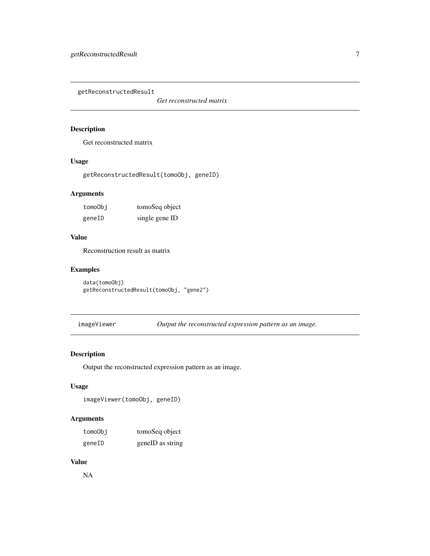<span id="page-6-0"></span>getReconstructedResult

*Get reconstructed matrix*

#### Description

Get reconstructed matrix

#### Usage

getReconstructedResult(tomoObj, geneID)

#### Arguments

| tomoObi | tomoSeq object |
|---------|----------------|
| geneID  | single gene ID |

#### Value

Reconstruction result as matrix

#### Examples

```
data(tomoObj)
getReconstructedResult(tomoObj, "gene2")
```
imageViewer *Output the reconstructed expression pattern as an image.*

#### Description

Output the reconstructed expression pattern as an image.

#### Usage

```
imageViewer(tomoObj, geneID)
```
#### Arguments

| tomoObj | tomoSeq object   |
|---------|------------------|
| geneID  | geneID as string |

#### Value

NA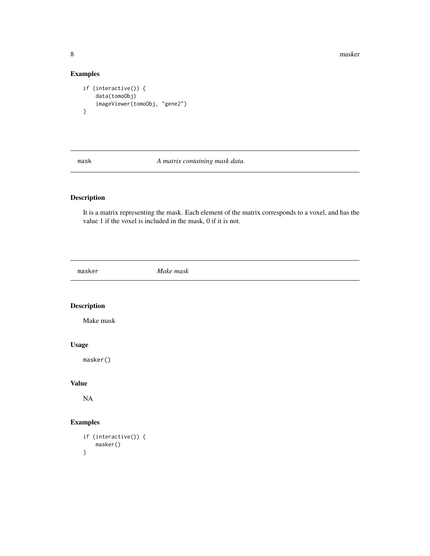8 masker and the set of the set of the set of the set of the set of the set of the set of the set of the set of the set of the set of the set of the set of the set of the set of the set of the set of the set of the set of

#### Examples

```
if (interactive()) {
    data(tomoObj)
    imageViewer(tomoObj, "gene2")
}
```
<span id="page-7-1"></span>

mask *A matrix containing mask data.*

#### Description

It is a matrix representing the mask. Each element of the matrix corresponds to a voxel, and has the value 1 if the voxel is included in the mask, 0 if it is not.

masker *Make mask*

#### Description

Make mask

#### Usage

masker()

#### Value

NA

#### Examples

```
if (interactive()) {
   masker()
}
```
<span id="page-7-0"></span>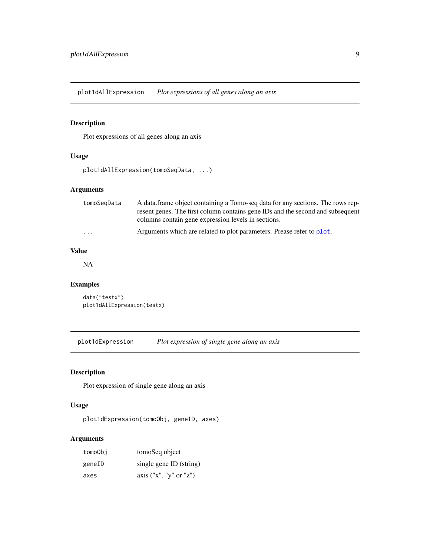<span id="page-8-0"></span>plot1dAllExpression *Plot expressions of all genes along an axis*

#### Description

Plot expressions of all genes along an axis

#### Usage

```
plot1dAllExpression(tomoSeqData, ...)
```
#### Arguments

| tomoSeqData | A data frame object containing a Tomo-seq data for any sections. The rows rep-<br>resent genes. The first column contains gene IDs and the second and subsequent<br>columns contain gene expression levels in sections. |
|-------------|-------------------------------------------------------------------------------------------------------------------------------------------------------------------------------------------------------------------------|
| .           | Arguments which are related to plot parameters. Prease refer to plot.                                                                                                                                                   |

#### Value

NA

#### Examples

```
data("testx")
plot1dAllExpression(testx)
```
plot1dExpression *Plot expression of single gene along an axis*

#### Description

Plot expression of single gene along an axis

#### Usage

```
plot1dExpression(tomoObj, geneID, axes)
```
#### Arguments

| tomoObi | tomoSeq object           |
|---------|--------------------------|
| geneID  | single gene ID (string)  |
| axes    | axis $("x", "y" or "z")$ |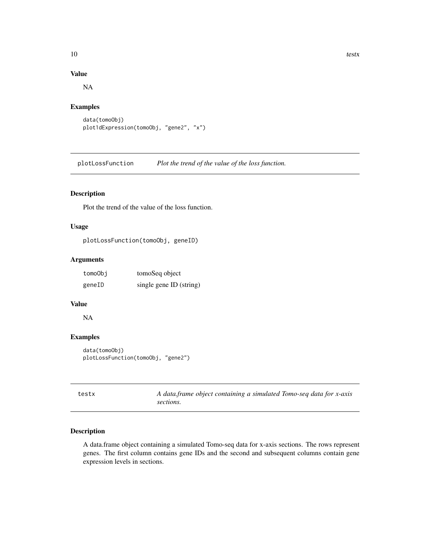#### Value

NA

#### Examples

```
data(tomoObj)
plot1dExpression(tomoObj, "gene2", "x")
```
plotLossFunction *Plot the trend of the value of the loss function.*

#### Description

Plot the trend of the value of the loss function.

#### Usage

plotLossFunction(tomoObj, geneID)

#### Arguments

| tomoObi | tomoSeq object          |
|---------|-------------------------|
| geneID  | single gene ID (string) |

#### Value

NA

#### Examples

```
data(tomoObj)
plotLossFunction(tomoObj, "gene2")
```
<span id="page-9-1"></span>

| testx | A data frame object containing a simulated Tomo-seq data for x-axis |
|-------|---------------------------------------------------------------------|
|       | sections.                                                           |

#### Description

A data.frame object containing a simulated Tomo-seq data for x-axis sections. The rows represent genes. The first column contains gene IDs and the second and subsequent columns contain gene expression levels in sections.

<span id="page-9-0"></span>10 testx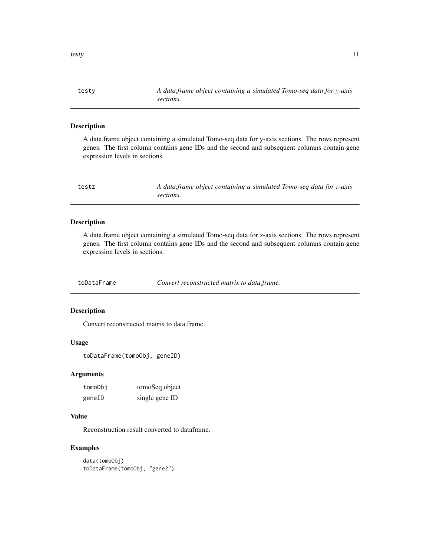<span id="page-10-1"></span><span id="page-10-0"></span>testy *A data.frame object containing a simulated Tomo-seq data for y-axis sections.*

#### Description

A data.frame object containing a simulated Tomo-seq data for y-axis sections. The rows represent genes. The first column contains gene IDs and the second and subsequent columns contain gene expression levels in sections.

<span id="page-10-2"></span>

| testz | A data frame object containing a simulated Tomo-seq data for z-axis |
|-------|---------------------------------------------------------------------|
|       | sections.                                                           |

#### Description

A data.frame object containing a simulated Tomo-seq data for z-axis sections. The rows represent genes. The first column contains gene IDs and the second and subsequent columns contain gene expression levels in sections.

toDataFrame *Convert reconstructed matrix to data.frame.*

#### Description

Convert reconstructed matrix to data.frame.

#### Usage

```
toDataFrame(tomoObj, geneID)
```
#### Arguments

| tomoObi | tomoSeq object |
|---------|----------------|
| geneID  | single gene ID |

#### Value

Reconstruction result converted to dataframe.

#### Examples

```
data(tomoObj)
toDataFrame(tomoObj, "gene2")
```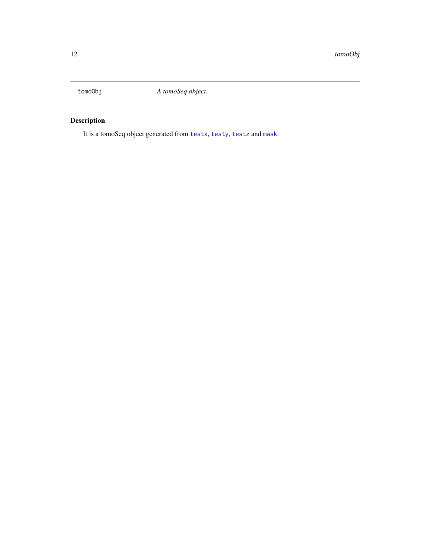<span id="page-11-0"></span>

### Description

It is a tomoSeq object generated from [testx](#page-9-1), [testy](#page-10-1), [testz](#page-10-2) and [mask](#page-7-1).